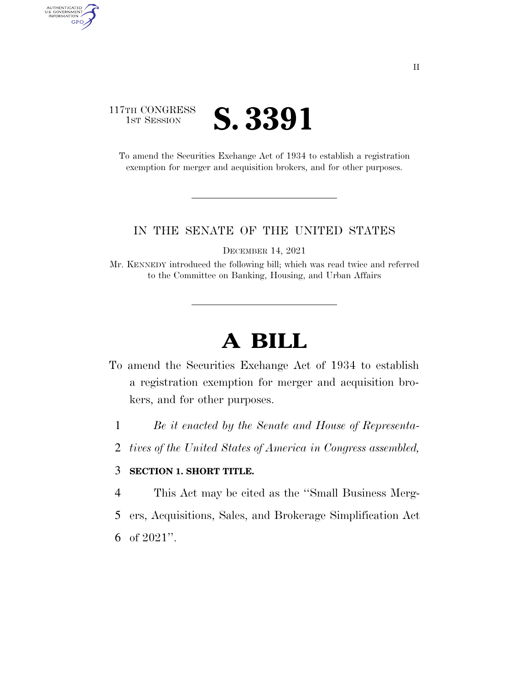## 117TH CONGRESS **1ST SESSION S. 3391**

AUTHENTICATED<br>U.S. GOVERNMENT<br>INFORMATION GPO

> To amend the Securities Exchange Act of 1934 to establish a registration exemption for merger and acquisition brokers, and for other purposes.

## IN THE SENATE OF THE UNITED STATES

DECEMBER 14, 2021

Mr. KENNEDY introduced the following bill; which was read twice and referred to the Committee on Banking, Housing, and Urban Affairs

## **A BILL**

- To amend the Securities Exchange Act of 1934 to establish a registration exemption for merger and acquisition brokers, and for other purposes.
	- 1 *Be it enacted by the Senate and House of Representa-*
	- 2 *tives of the United States of America in Congress assembled,*

## 3 **SECTION 1. SHORT TITLE.**

- 4 This Act may be cited as the ''Small Business Merg-
- 5 ers, Acquisitions, Sales, and Brokerage Simplification Act
- 6 of 2021''.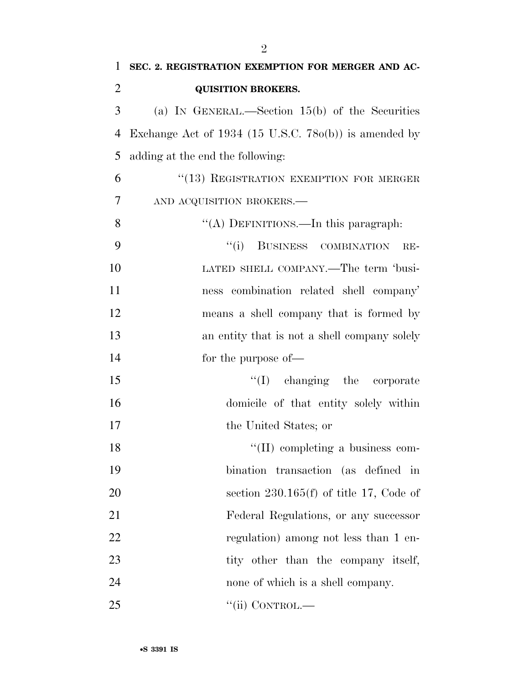| $\mathbf{1}$   | SEC. 2. REGISTRATION EXEMPTION FOR MERGER AND AC-           |
|----------------|-------------------------------------------------------------|
| $\overline{2}$ | <b>QUISITION BROKERS.</b>                                   |
| 3              | (a) IN GENERAL.—Section $15(b)$ of the Securities           |
| 4              | Exchange Act of $1934$ (15 U.S.C. 78 $o(b)$ ) is amended by |
| 5              | adding at the end the following:                            |
| 6              | "(13) REGISTRATION EXEMPTION FOR MERGER                     |
| 7              | AND ACQUISITION BROKERS.                                    |
| 8              | "(A) DEFINITIONS.—In this paragraph:                        |
| 9              | "(i) BUSINESS COMBINATION<br>$RE-$                          |
| 10             | LATED SHELL COMPANY.—The term 'busi-                        |
| 11             | ness combination related shell company'                     |
| 12             | means a shell company that is formed by                     |
| 13             | an entity that is not a shell company solely                |
| 14             | for the purpose of—                                         |
| 15             | $\lq\lq$ (I) changing the corporate                         |
| 16             | domicile of that entity solely within                       |
| 17             | the United States; or                                       |
| 18             | $\lq\lq$ (II) completing a business com-                    |
| 19             | bination transaction (as defined in                         |
| 20             | section $230.165(f)$ of title 17, Code of                   |
| 21             | Federal Regulations, or any successor                       |
| 22             | regulation) among not less than 1 en-                       |
| 23             | tity other than the company itself,                         |
| 24             | none of which is a shell company.                           |
| 25             | $``$ (ii) CONTROL.—                                         |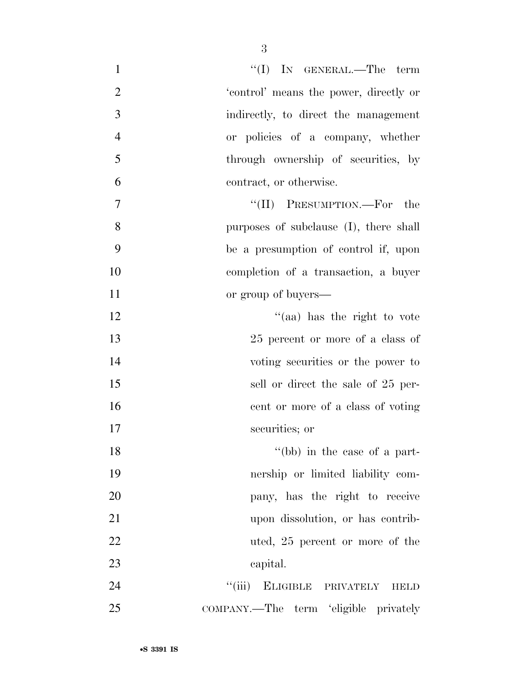| $\mathbf{1}$   | "(I) IN GENERAL.—The term                    |
|----------------|----------------------------------------------|
| $\mathfrak{2}$ | 'control' means the power, directly or       |
| 3              | indirectly, to direct the management         |
| $\overline{4}$ | or policies of a company, whether            |
| 5              | through ownership of securities, by          |
| 6              | contract, or otherwise.                      |
| $\tau$         | "(II) PRESUMPTION.—For the                   |
| 8              | purposes of subclause (I), there shall       |
| 9              | be a presumption of control if, upon         |
| 10             | completion of a transaction, a buyer         |
| 11             | or group of buyers—                          |
| 12             | "(aa) has the right to vote                  |
| 13             | 25 percent or more of a class of             |
| 14             | voting securities or the power to            |
| 15             | sell or direct the sale of 25 per-           |
| 16             | cent or more of a class of voting            |
| 17             | securities; or                               |
| 18             | $\degree$ (bb) in the case of a part-        |
| 19             | nership or limited liability com-            |
| 20             | pany, has the right to receive               |
| 21             | upon dissolution, or has contrib-            |
| 22             | uted, 25 percent or more of the              |
| 23             | capital.                                     |
| 24             | ``(iii)<br>ELIGIBLE PRIVATELY<br><b>HELD</b> |
| 25             | COMPANY.—The term 'eligible privately        |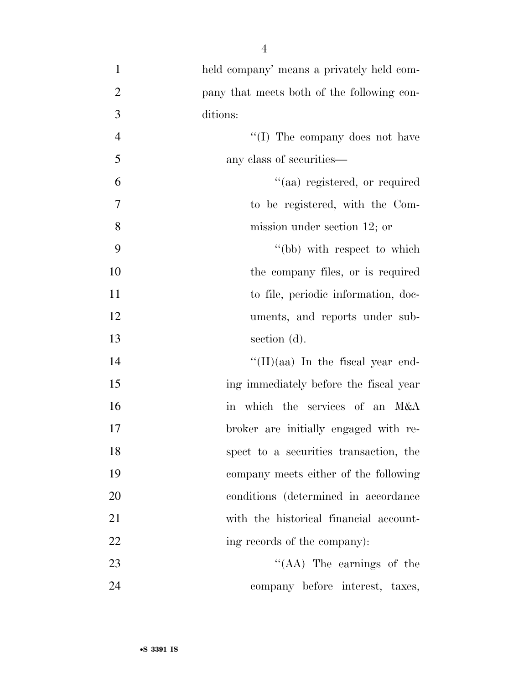| $\mathbf{1}$   | held company' means a privately held com-  |
|----------------|--------------------------------------------|
| $\overline{2}$ | pany that meets both of the following con- |
| $\overline{3}$ | ditions:                                   |
| $\overline{4}$ | "(I) The company does not have             |
| 5              | any class of securities—                   |
| 6              | "(aa) registered, or required              |
| $\overline{7}$ | to be registered, with the Com-            |
| 8              | mission under section 12; or               |
| 9              | "(bb) with respect to which                |
| 10             | the company files, or is required          |
| 11             | to file, periodic information, doc-        |
| 12             | uments, and reports under sub-             |
| 13             | section (d).                               |
| 14             | $\lq\lq$ (II)(aa) In the fiscal year end-  |
| 15             | ing immediately before the fiscal year     |
| 16             | in which the services of an M&A            |
| 17             | broker are initially engaged with re-      |
| 18             | spect to a securities transaction, the     |
| 19             | company meets either of the following      |
| 20             | conditions (determined in accordance)      |
| 21             | with the historical financial account-     |
| 22             | ing records of the company):               |
| 23             | $\lq\lq$ (AA) The earnings of the          |
| 24             | company before interest, taxes,            |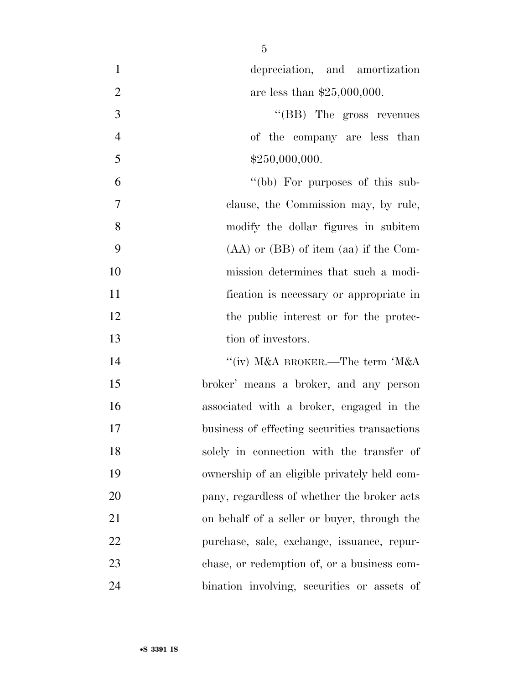| $\mathbf{1}$   | depreciation, and amortization                |
|----------------|-----------------------------------------------|
| $\overline{2}$ | are less than $$25,000,000$ .                 |
| 3              | "(BB) The gross revenues                      |
| $\overline{4}$ | of the company are less than                  |
| 5              | \$250,000,000.                                |
| 6              | "(bb) For purposes of this sub-               |
| $\tau$         | clause, the Commission may, by rule,          |
| 8              | modify the dollar figures in subitem          |
| 9              | $(AA)$ or $(BB)$ of item $(aa)$ if the Com-   |
| 10             | mission determines that such a modi-          |
| 11             | fication is necessary or appropriate in       |
| 12             | the public interest or for the protec-        |
| 13             | tion of investors.                            |
| 14             | "(iv) M&A BROKER.—The term 'M&A               |
| 15             | broker' means a broker, and any person        |
| 16             | associated with a broker, engaged in the      |
| 17             | business of effecting securities transactions |
| 18             | solely in connection with the transfer of     |
| 19             | ownership of an eligible privately held com-  |
| 20             | pany, regardless of whether the broker acts   |
| 21             | on behalf of a seller or buyer, through the   |
| 22             | purchase, sale, exchange, issuance, repur-    |
| 23             | chase, or redemption of, or a business com-   |
| 24             | bination involving, securities or assets of   |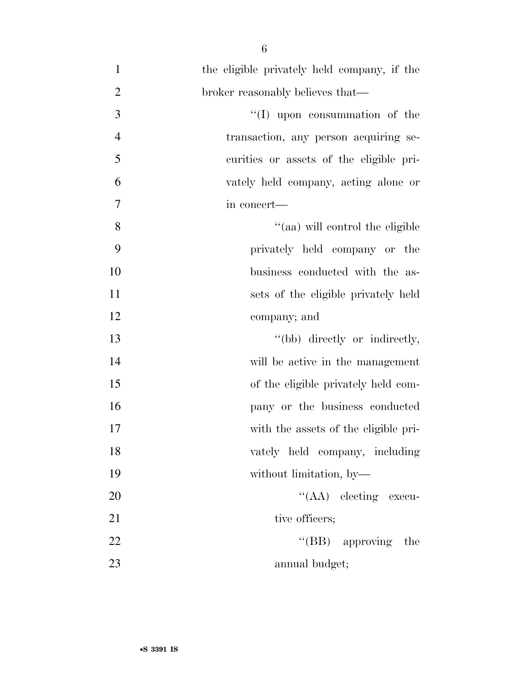| $\mathbf{1}$   | the eligible privately held company, if the |
|----------------|---------------------------------------------|
| $\overline{2}$ | broker reasonably believes that—            |
| 3              | "(I) upon consummation of the               |
| $\overline{4}$ | transaction, any person acquiring se-       |
| 5              | curities or assets of the eligible pri-     |
| 6              | vately held company, acting alone or        |
| 7              | in concert—                                 |
| 8              | "(aa) will control the eligible             |
| 9              | privately held company or the               |
| 10             | business conducted with the as-             |
| 11             | sets of the eligible privately held         |
| 12             | company; and                                |
| 13             | "(bb) directly or indirectly,               |
| 14             | will be active in the management            |
| 15             | of the eligible privately held com-         |
| 16             | pany or the business conducted              |
| 17             | with the assets of the eligible pri-        |
| 18             | vately held company, including              |
| 19             | without limitation, by-                     |
| 20             | "(AA) electing execu-                       |
| 21             | tive officers;                              |
| 22             | " $(BB)$ approving<br>the                   |
| 23             | annual budget;                              |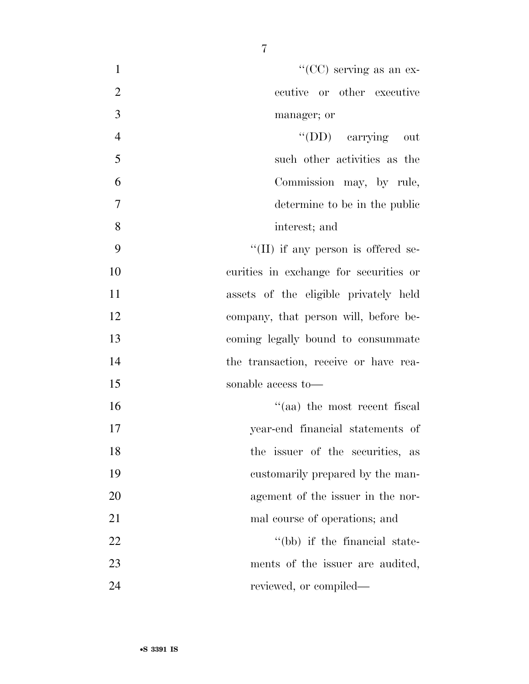| $\mathbf{1}$   | "( $CC$ ) serving as an ex-                |
|----------------|--------------------------------------------|
| $\overline{2}$ | ecutive or other executive                 |
| 3              | manager; or                                |
| $\overline{4}$ | "(DD) carrying out                         |
| 5              | such other activities as the               |
| 6              | Commission may, by rule,                   |
| 7              | determine to be in the public              |
| 8              | interest; and                              |
| 9              | $\lq\lq$ (II) if any person is offered se- |
| 10             | curities in exchange for securities or     |
| 11             | assets of the eligible privately held      |
| 12             | company, that person will, before be-      |
| 13             | coming legally bound to consummate         |
| 14             | the transaction, receive or have rea-      |
| 15             | sonable access to-                         |
| 16             | $\lq\lq$ (aa) the most recent fiscal       |
| 17             | year-end financial statements of           |
| 18             | the issuer of the securities, as           |
| 19             | customarily prepared by the man-           |
| 20             | agement of the issuer in the nor-          |
| 21             | mal course of operations; and              |
| 22             | "(bb) if the financial state-              |
| 23             | ments of the issuer are audited,           |
| 24             | reviewed, or compiled—                     |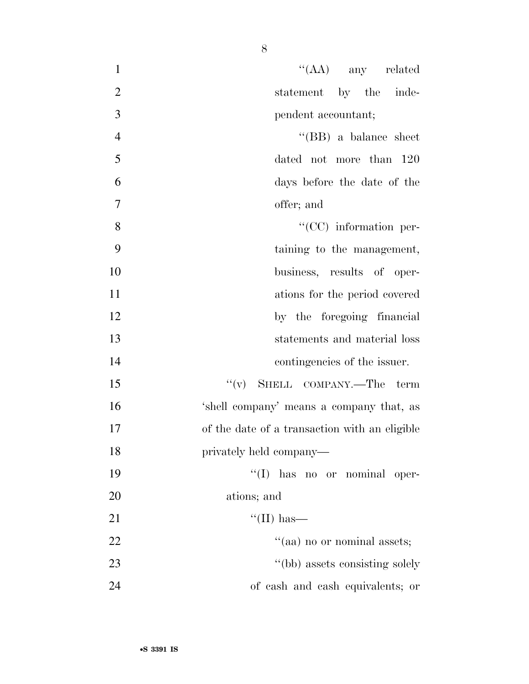| $\mathbf{1}$   | $\lq\lq$ (AA) any related                     |
|----------------|-----------------------------------------------|
| $\overline{2}$ | statement by the inde-                        |
| 3              | pendent accountant;                           |
| $\overline{4}$ | "(BB) a balance sheet                         |
| 5              | dated not more than 120                       |
| 6              | days before the date of the                   |
| $\overline{7}$ | offer; and                                    |
| 8              | $\lq\lq$ (CC) information per-                |
| 9              | taining to the management,                    |
| 10             | business, results of oper-                    |
| 11             | ations for the period covered                 |
| 12             | by the foregoing financial                    |
| 13             | statements and material loss                  |
| 14             | contingencies of the issuer.                  |
| 15             | $``(v)$ SHELL COMPANY.—The term               |
| 16             | 'shell company' means a company that, as      |
| 17             | of the date of a transaction with an eligible |
| 18             | privately held company—                       |
| 19             | "(I) has no or nominal oper-                  |
| 20             | ations; and                                   |
| 21             | $\lq\lq$ (II) has—                            |
| 22             | "(aa) no or nominal assets;                   |
| 23             | "(bb) assets consisting solely                |
| 24             | of cash and cash equivalents; or              |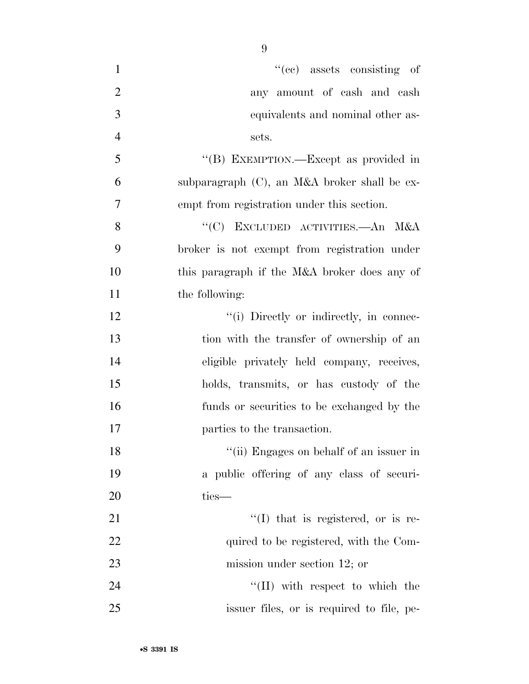| $\mathbf{1}$   | $f'(ce)$ assets consisting of                |
|----------------|----------------------------------------------|
| $\overline{2}$ | any amount of cash and cash                  |
| 3              | equivalents and nominal other as-            |
| $\overline{4}$ | sets.                                        |
| 5              | "(B) EXEMPTION.—Except as provided in        |
| 6              | subparagraph (C), an M&A broker shall be ex- |
| $\overline{7}$ | empt from registration under this section.   |
| 8              | "(C) EXCLUDED ACTIVITIES.—An M&A             |
| 9              | broker is not exempt from registration under |
| 10             | this paragraph if the M&A broker does any of |
| 11             | the following:                               |
| 12             | "(i) Directly or indirectly, in connec-      |
| 13             | tion with the transfer of ownership of an    |
| 14             | eligible privately held company, receives,   |
| 15             | holds, transmits, or has custody of the      |
| 16             | funds or securities to be exchanged by the   |
| 17             | parties to the transaction.                  |
| 18             | "(ii) Engages on behalf of an issuer in      |
| 19             | a public offering of any class of securi-    |
| 20             | ties-                                        |
| 21             | $\lq(1)$ that is registered, or is re-       |
| 22             | quired to be registered, with the Com-       |
| 23             | mission under section $12$ ; or              |
| 24             | $\lq\lq$ (II) with respect to which the      |
| 25             | issuer files, or is required to file, pe-    |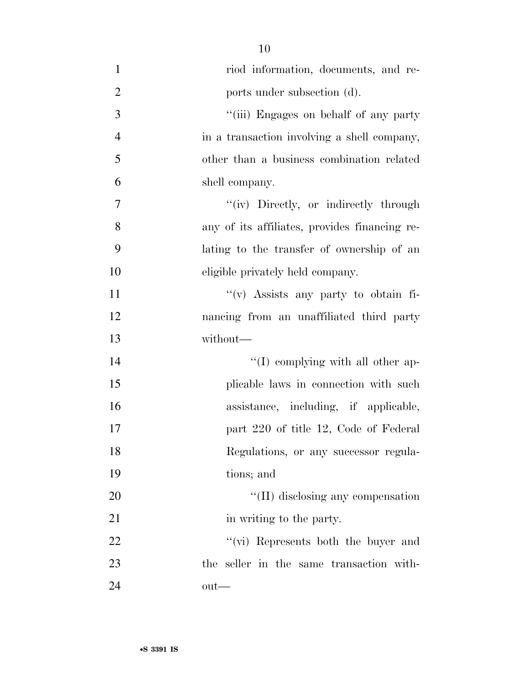- riod information, documents, and re-2 ports under subsection (d). ''(iii) Engages on behalf of any party in a transaction involving a shell company, other than a business combination related shell company. 7 ''(iv) Directly, or indirectly through any of its affiliates, provides financing re- lating to the transfer of ownership of an eligible privately held company. ''(v) Assists any party to obtain fi- nancing from an unaffiliated third party without— 14  $\text{``(I) complying with all other ap-}$  plicable laws in connection with such assistance, including, if applicable, **part 220 of title 12, Code of Federal**  Regulations, or any successor regula- tions; and 20 ''(II) disclosing any compensation 21 in writing to the party. 22 ''(vi) Represents both the buyer and the seller in the same transaction with-out—
-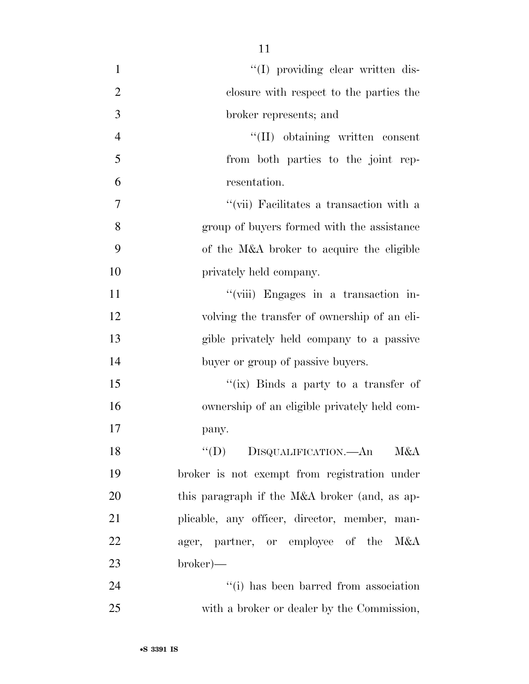| $\mathbf{1}$   | "(I) providing clear written dis-                          |
|----------------|------------------------------------------------------------|
| $\overline{2}$ | closure with respect to the parties the                    |
| 3              | broker represents; and                                     |
| $\overline{4}$ | "(II) obtaining written consent                            |
| 5              | from both parties to the joint rep-                        |
| 6              | resentation.                                               |
| 7              | $``$ (vii) Facilitates a transaction with a                |
| 8              | group of buyers formed with the assistance                 |
| 9              | of the M&A broker to acquire the eligible                  |
| 10             | privately held company.                                    |
| 11             | "(viii) Engages in a transaction in-                       |
| 12             | volving the transfer of ownership of an eli-               |
| 13             | gible privately held company to a passive                  |
| 14             | buyer or group of passive buyers.                          |
| 15             | "(ix) Binds a party to a transfer of                       |
| 16             | ownership of an eligible privately held com-               |
| 17             | pany.                                                      |
| 18             | $\lq\lq (D)$<br>DISQUALIFICATION. <sup>---</sup> An<br>M&A |
| 19             | broker is not exempt from registration under               |
| 20             | this paragraph if the M&A broker (and, as ap-              |
| 21             | plicable, any officer, director, member, man-              |
| 22             | ager, partner, or employee of the M&A                      |
| 23             | $broker)$ —                                                |
| 24             | "(i) has been barred from association                      |
| 25             | with a broker or dealer by the Commission,                 |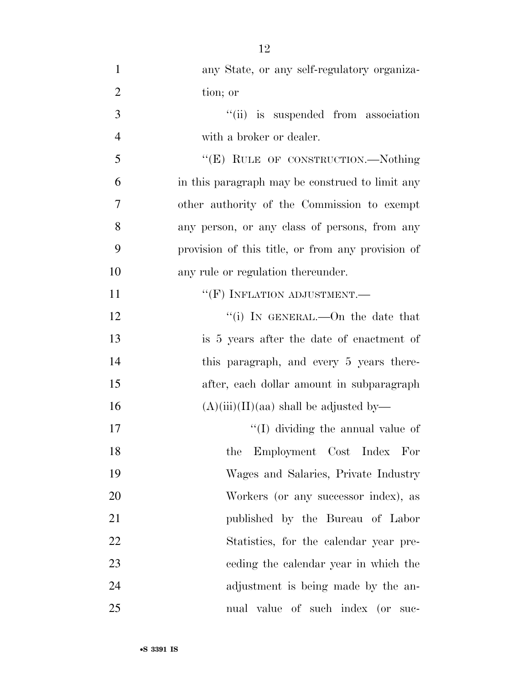| $\mathbf{1}$   | any State, or any self-regulatory organiza-       |
|----------------|---------------------------------------------------|
| $\overline{2}$ | tion; or                                          |
| 3              | "(ii) is suspended from association               |
| $\overline{4}$ | with a broker or dealer.                          |
| 5              | "(E) RULE OF CONSTRUCTION.—Nothing                |
| 6              | in this paragraph may be construed to limit any   |
| 7              | other authority of the Commission to exempt       |
| 8              | any person, or any class of persons, from any     |
| 9              | provision of this title, or from any provision of |
| 10             | any rule or regulation thereunder.                |
| 11             | $``$ (F) INFLATION ADJUSTMENT.—                   |
| 12             | "(i) IN GENERAL.—On the date that                 |
| 13             | is 5 years after the date of enactment of         |
| 14             | this paragraph, and every 5 years there-          |
| 15             | after, each dollar amount in subparagraph         |
| 16             | $(A)(iii)(II)(aa)$ shall be adjusted by—          |
| 17             | $\lq (I)$ dividing the annual value of            |
| 18             | the Employment Cost Index For                     |
| 19             | Wages and Salaries, Private Industry              |
| 20             | Workers (or any successor index), as              |
| 21             | published by the Bureau of Labor                  |
| 22             | Statistics, for the calendar year pre-            |
| 23             | eeding the calendar year in which the             |
| 24             | adjustment is being made by the an-               |
| 25             | nual value of such index (or suc-                 |